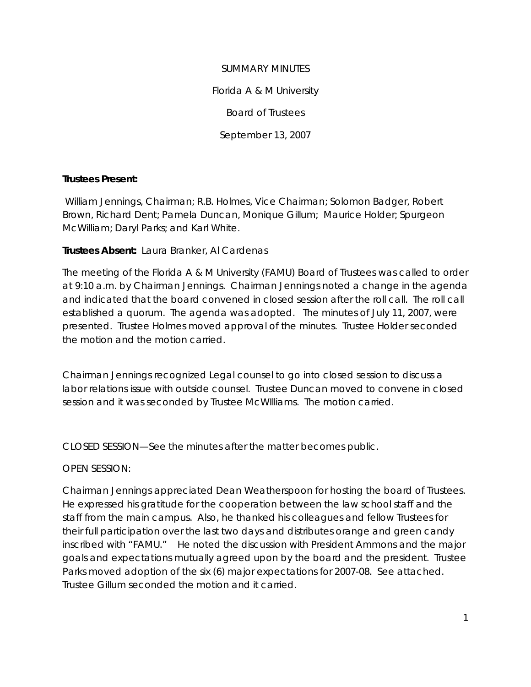SUMMARY MINUTES Florida A & M University Board of Trustees September 13, 2007

### **Trustees Present:**

William Jennings, Chairman; R.B. Holmes, Vice Chairman; Solomon Badger, Robert Brown, Richard Dent; Pamela Duncan, Monique Gillum; Maurice Holder; Spurgeon McWilliam; Daryl Parks; and Karl White.

# **Trustees Absent:** Laura Branker, Al Cardenas

The meeting of the Florida A & M University (FAMU) Board of Trustees was called to order at 9:10 a.m. by Chairman Jennings. Chairman Jennings noted a change in the agenda and indicated that the board convened in closed session after the roll call. The roll call established a quorum. The agenda was adopted. The minutes of July 11, 2007, were presented. Trustee Holmes moved approval of the minutes. Trustee Holder seconded the motion and the motion carried.

Chairman Jennings recognized Legal counsel to go into closed session to discuss a labor relations issue with outside counsel. Trustee Duncan moved to convene in closed session and it was seconded by Trustee McWIlliams. The motion carried.

CLOSED SESSION—See the minutes after the matter becomes public.

### OPEN SESSION:

Chairman Jennings appreciated Dean Weatherspoon for hosting the board of Trustees. He expressed his gratitude for the cooperation between the law school staff and the staff from the main campus. Also, he thanked his colleagues and fellow Trustees for their full participation over the last two days and distributes orange and green candy inscribed with "FAMU." He noted the discussion with President Ammons and the major goals and expectations mutually agreed upon by the board and the president. Trustee Parks moved adoption of the six (6) major expectations for 2007-08. See attached. Trustee Gillum seconded the motion and it carried.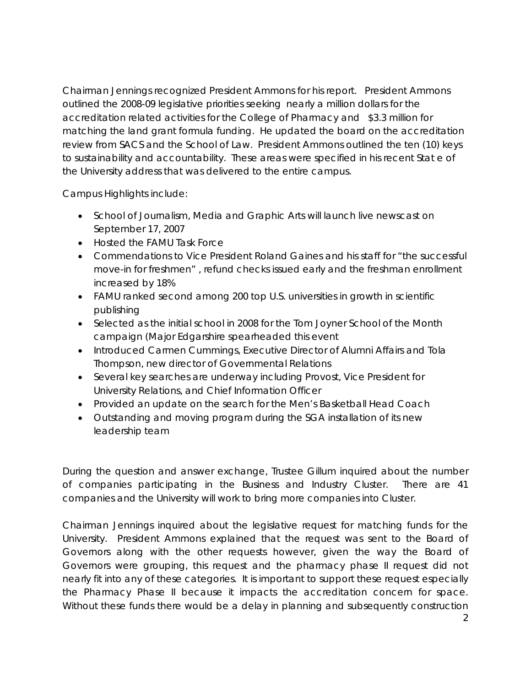Chairman Jennings recognized President Ammons for his report. President Ammons outlined the 2008-09 legislative priorities seeking nearly a million dollars for the accreditation related activities for the College of Pharmacy and \$3.3 million for matching the land grant formula funding. He updated the board on the accreditation review from SACS and the School of Law. President Ammons outlined the ten (10) keys to sustainability and accountability. These areas were specified in his recent Stat e of the University address that was delivered to the entire campus.

Campus Highlights include:

- School of Journalism, Media and Graphic Arts will launch live newscast on September 17, 2007
- Hosted the FAMU Task Force
- Commendations to Vice President Roland Gaines and his staff for "the successful move-in for freshmen" , refund checks issued early and the freshman enrollment increased by 18%
- FAMU ranked second among 200 top U.S. universities in growth in scientific publishing
- Selected as the initial school in 2008 for the Tom Joyner School of the Month campaign (Major Edgarshire spearheaded this event
- Introduced Carmen Cummings, Executive Director of Alumni Affairs and Tola Thompson, new director of Governmental Relations
- Several key searches are underway including Provost, Vice President for University Relations, and Chief Information Officer
- Provided an update on the search for the Men's Basketball Head Coach
- Outstanding and moving program during the SGA installation of its new leadership team

During the question and answer exchange, Trustee Gillum inquired about the number of companies participating in the Business and Industry Cluster. There are 41 companies and the University will work to bring more companies into Cluster.

Chairman Jennings inquired about the legislative request for matching funds for the University. President Ammons explained that the request was sent to the Board of Governors along with the other requests however, given the way the Board of Governors were grouping, this request and the pharmacy phase II request did not nearly fit into any of these categories. It is important to support these request especially the Pharmacy Phase II because it impacts the accreditation concern for space. Without these funds there would be a delay in planning and subsequently construction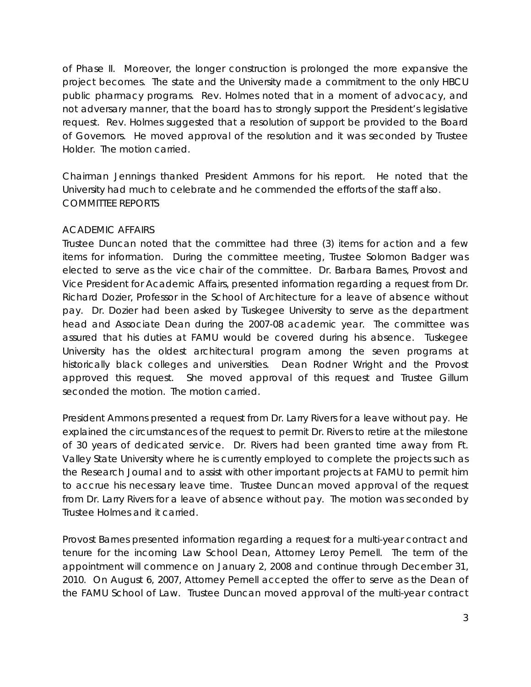of Phase II. Moreover, the longer construction is prolonged the more expansive the project becomes. The state and the University made a commitment to the only HBCU public pharmacy programs. Rev. Holmes noted that in a moment of advocacy, and not adversary manner, that the board has to strongly support the President's legislative request. Rev. Holmes suggested that a resolution of support be provided to the Board of Governors. He moved approval of the resolution and it was seconded by Trustee Holder. The motion carried.

Chairman Jennings thanked President Ammons for his report. He noted that the University had much to celebrate and he commended the efforts of the staff also. COMMITTEE REPORTS

#### ACADEMIC AFFAIRS

Trustee Duncan noted that the committee had three (3) items for action and a few items for information. During the committee meeting, Trustee Solomon Badger was elected to serve as the vice chair of the committee. Dr. Barbara Barnes, Provost and Vice President for Academic Affairs, presented information regarding a request from Dr. Richard Dozier, Professor in the School of Architecture for a leave of absence without pay. Dr. Dozier had been asked by Tuskegee University to serve as the department head and Associate Dean during the 2007-08 academic year. The committee was assured that his duties at FAMU would be covered during his absence. Tuskegee University has the oldest architectural program among the seven programs at historically black colleges and universities. Dean Rodner Wright and the Provost approved this request. She moved approval of this request and Trustee Gillum seconded the motion. The motion carried.

President Ammons presented a request from Dr. Larry Rivers for a leave without pay. He explained the circumstances of the request to permit Dr. Rivers to retire at the milestone of 30 years of dedicated service. Dr. Rivers had been granted time away from Ft. Valley State University where he is currently employed to complete the projects such as the Research Journal and to assist with other important projects at FAMU to permit him to accrue his necessary leave time. Trustee Duncan moved approval of the request from Dr. Larry Rivers for a leave of absence without pay. The motion was seconded by Trustee Holmes and it carried.

Provost Barnes presented information regarding a request for a multi-year contract and tenure for the incoming Law School Dean, Attorney Leroy Pernell. The term of the appointment will commence on January 2, 2008 and continue through December 31, 2010. On August 6, 2007, Attorney Pernell accepted the offer to serve as the Dean of the FAMU School of Law. Trustee Duncan moved approval of the multi-year contract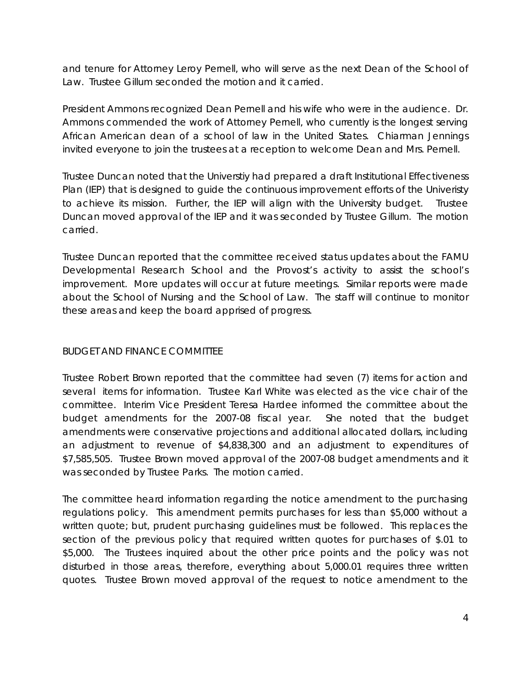and tenure for Attorney Leroy Pernell, who will serve as the next Dean of the School of Law. Trustee Gillum seconded the motion and it carried.

President Ammons recognized Dean Pernell and his wife who were in the audience. Dr. Ammons commended the work of Attorney Pernell, who currently is the longest serving African American dean of a school of law in the United States. Chiarman Jennings invited everyone to join the trustees at a reception to welcome Dean and Mrs. Pernell.

Trustee Duncan noted that the Universtiy had prepared a draft Institutional Effectiveness Plan (IEP) that is designed to guide the continuous improvement efforts of the Univeristy to achieve its mission. Further, the IEP will align with the University budget. Trustee Duncan moved approval of the IEP and it was seconded by Trustee Gillum. The motion carried.

Trustee Duncan reported that the committee received status updates about the FAMU Developmental Research School and the Provost's activity to assist the school's improvement. More updates will occur at future meetings. Similar reports were made about the School of Nursing and the School of Law. The staff will continue to monitor these areas and keep the board apprised of progress.

# BUDGET AND FINANCE COMMITTEE

Trustee Robert Brown reported that the committee had seven (7) items for action and several items for information. Trustee Karl White was elected as the vice chair of the committee. Interim Vice President Teresa Hardee informed the committee about the budget amendments for the 2007-08 fiscal year. She noted that the budget amendments were conservative projections and additional allocated dollars, including an adjustment to revenue of \$4,838,300 and an adjustment to expenditures of \$7,585,505. Trustee Brown moved approval of the 2007-08 budget amendments and it was seconded by Trustee Parks. The motion carried.

The committee heard information regarding the notice amendment to the purchasing regulations policy. This amendment permits purchases for less than \$5,000 without a written quote; but, prudent purchasing guidelines must be followed. This replaces the section of the previous policy that required written quotes for purchases of \$.01 to \$5,000. The Trustees inquired about the other price points and the policy was not disturbed in those areas, therefore, everything about 5,000.01 requires three written quotes. Trustee Brown moved approval of the request to notice amendment to the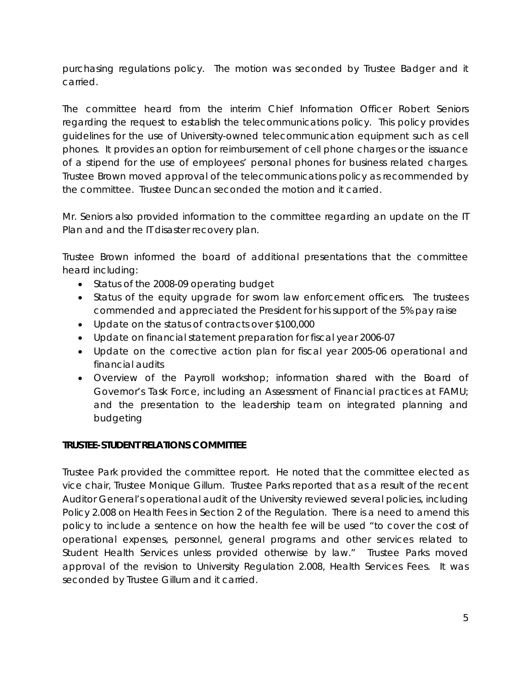purchasing regulations policy. The motion was seconded by Trustee Badger and it carried.

The committee heard from the interim Chief Information Officer Robert Seniors regarding the request to establish the telecommunications policy. This policy provides guidelines for the use of University-owned telecommunication equipment such as cell phones. It provides an option for reimbursement of cell phone charges or the issuance of a stipend for the use of employees' personal phones for business related charges. Trustee Brown moved approval of the telecommunications policy as recommended by the committee. Trustee Duncan seconded the motion and it carried.

Mr. Seniors also provided information to the committee regarding an update on the IT Plan and and the IT disaster recovery plan.

Trustee Brown informed the board of additional presentations that the committee heard including:

- Status of the 2008-09 operating budget
- Status of the equity upgrade for sworn law enforcement officers. The trustees commended and appreciated the President for his support of the 5% pay raise
- Update on the status of contracts over \$100,000
- Update on financial statement preparation for fiscal year 2006-07
- Update on the corrective action plan for fiscal year 2005-06 operational and financial audits
- Overview of the Payroll workshop; information shared with the Board of Governor's Task Force, including an Assessment of Financial practices at FAMU; and the presentation to the leadership team on integrated planning and budgeting

# **TRUSTEE-STUDENT RELATIONS COMMITTEE**

Trustee Park provided the committee report. He noted that the committee elected as vice chair, Trustee Monique Gillum. Trustee Parks reported that as a result of the recent Auditor General's operational audit of the University reviewed several policies, including Policy 2.008 on Health Fees in Section 2 of the Regulation. There is a need to amend this policy to include a sentence on how the health fee will be used "to cover the cost of operational expenses, personnel, general programs and other services related to Student Health Services unless provided otherwise by law." Trustee Parks moved approval of the revision to University Regulation 2.008, Health Services Fees. It was seconded by Trustee Gillum and it carried.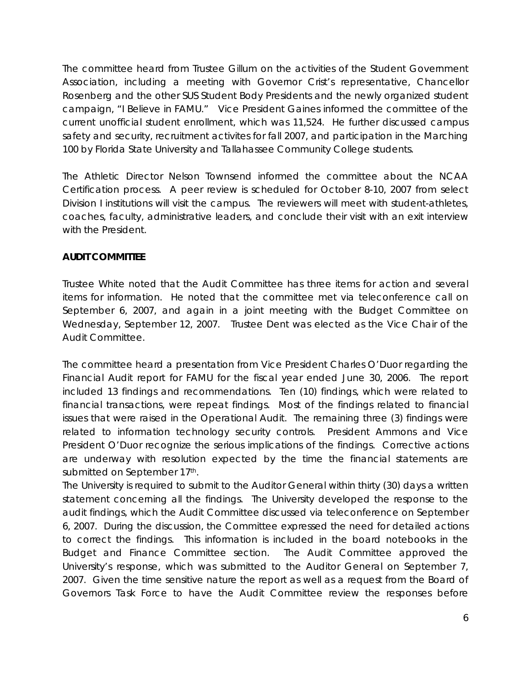The committee heard from Trustee Gillum on the activities of the Student Government Association, including a meeting with Governor Crist's representative, Chancellor Rosenberg and the other SUS Student Body Presidents and the newly organized student campaign, "I Believe in FAMU." Vice President Gaines informed the committee of the current unofficial student enrollment, which was 11,524. He further discussed campus safety and security, recruitment activites for fall 2007, and participation in the Marching 100 by Florida State University and Tallahassee Community College students.

The Athletic Director Nelson Townsend informed the committee about the NCAA Certification process. A peer review is scheduled for October 8-10, 2007 from select Division I institutions will visit the campus. The reviewers will meet with student-athletes, coaches, faculty, administrative leaders, and conclude their visit with an exit interview with the President.

# **AUDIT COMMITTEE**

Trustee White noted that the Audit Committee has three items for action and several items for information. He noted that the committee met via teleconference call on September 6, 2007, and again in a joint meeting with the Budget Committee on Wednesday, September 12, 2007. Trustee Dent was elected as the Vice Chair of the Audit Committee.

The committee heard a presentation from Vice President Charles O'Duor regarding the Financial Audit report for FAMU for the fiscal year ended June 30, 2006. The report included 13 findings and recommendations. Ten (10) findings, which were related to financial transactions, were repeat findings. Most of the findings related to financial issues that were raised in the Operational Audit. The remaining three (3) findings were related to information technology security controls. President Ammons and Vice President O'Duor recognize the serious implications of the findings. Corrective actions are underway with resolution expected by the time the financial statements are submitted on September 17th.

The University is required to submit to the Auditor General within thirty (30) days a written statement concerning all the findings. The University developed the response to the audit findings, which the Audit Committee discussed via teleconference on September 6, 2007. During the discussion, the Committee expressed the need for detailed actions to correct the findings. This information is included in the board notebooks in the Budget and Finance Committee section. The Audit Committee approved the University's response, which was submitted to the Auditor General on September 7, 2007. Given the time sensitive nature the report as well as a request from the Board of Governors Task Force to have the Audit Committee review the responses before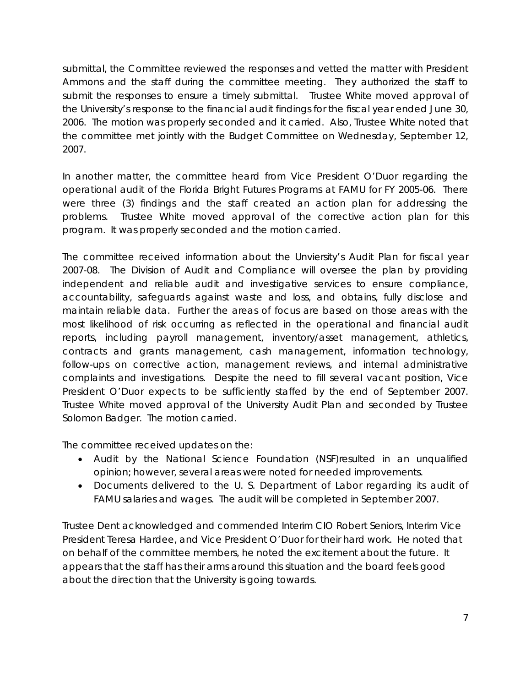submittal, the Committee reviewed the responses and vetted the matter with President Ammons and the staff during the committee meeting. They authorized the staff to submit the responses to ensure a timely submittal. Trustee White moved approval of the University's response to the financial audit findings for the fiscal year ended June 30, 2006. The motion was properly seconded and it carried. Also, Trustee White noted that the committee met jointly with the Budget Committee on Wednesday, September 12, 2007.

In another matter, the committee heard from Vice President O'Duor regarding the operational audit of the Florida Bright Futures Programs at FAMU for FY 2005-06. There were three (3) findings and the staff created an action plan for addressing the problems. Trustee White moved approval of the corrective action plan for this program. It was properly seconded and the motion carried.

The committee received information about the Unviersity's Audit Plan for fiscal year 2007-08. The Division of Audit and Compliance will oversee the plan by providing independent and reliable audit and investigative services to ensure compliance, accountability, safeguards against waste and loss, and obtains, fully disclose and maintain reliable data. Further the areas of focus are based on those areas with the most likelihood of risk occurring as reflected in the operational and financial audit reports, including payroll management, inventory/asset management, athletics, contracts and grants management, cash management, information technology, follow-ups on corrective action, management reviews, and internal administrative complaints and investigations. Despite the need to fill several vacant position, Vice President O'Duor expects to be sufficiently staffed by the end of September 2007. Trustee White moved approval of the University Audit Plan and seconded by Trustee Solomon Badger. The motion carried.

The committee received updates on the:

- Audit by the National Science Foundation (NSF)resulted in an unqualified opinion; however, several areas were noted for needed improvements.
- Documents delivered to the U. S. Department of Labor regarding its audit of FAMU salaries and wages. The audit will be completed in September 2007.

Trustee Dent acknowledged and commended Interim CIO Robert Seniors, Interim Vice President Teresa Hardee, and Vice President O'Duor for their hard work. He noted that on behalf of the committee members, he noted the excitement about the future. It appears that the staff has their arms around this situation and the board feels good about the direction that the University is going towards.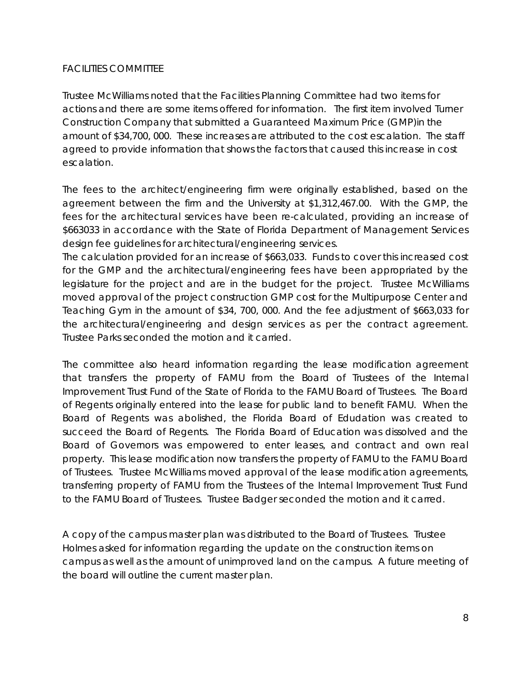### FACILITIES COMMITTEE

Trustee McWilliams noted that the Facilities Planning Committee had two items for actions and there are some items offered for information. The first item involved Turner Construction Company that submitted a Guaranteed Maximum Price (GMP)in the amount of \$34,700, 000. These increases are attributed to the cost escalation. The staff agreed to provide information that shows the factors that caused this increase in cost escalation.

The fees to the architect/engineering firm were originally established, based on the agreement between the firm and the University at \$1,312,467.00. With the GMP, the fees for the architectural services have been re-calculated, providing an increase of \$663033 in accordance with the State of Florida Department of Management Services design fee guidelines for architectural/engineering services.

The calculation provided for an increase of \$663,033. Funds to cover this increased cost for the GMP and the architectural/engineering fees have been appropriated by the legislature for the project and are in the budget for the project. Trustee McWilliams moved approval of the project construction GMP cost for the Multipurpose Center and Teaching Gym in the amount of \$34, 700, 000. And the fee adjustment of \$663,033 for the architectural/engineering and design services as per the contract agreement. Trustee Parks seconded the motion and it carried.

The committee also heard information regarding the lease modification agreement that transfers the property of FAMU from the Board of Trustees of the Internal Improvement Trust Fund of the State of Florida to the FAMU Board of Trustees. The Board of Regents originally entered into the lease for public land to benefit FAMU. When the Board of Regents was abolished, the Florida Board of Edudation was created to succeed the Board of Regents. The Florida Board of Education was dissolved and the Board of Governors was empowered to enter leases, and contract and own real property. This lease modification now transfers the property of FAMU to the FAMU Board of Trustees. Trustee McWilliams moved approval of the lease modification agreements, transferring property of FAMU from the Trustees of the Internal Improvement Trust Fund to the FAMU Board of Trustees. Trustee Badger seconded the motion and it carred.

A copy of the campus master plan was distributed to the Board of Trustees. Trustee Holmes asked for information regarding the update on the construction items on campus as well as the amount of unimproved land on the campus. A future meeting of the board will outline the current master plan.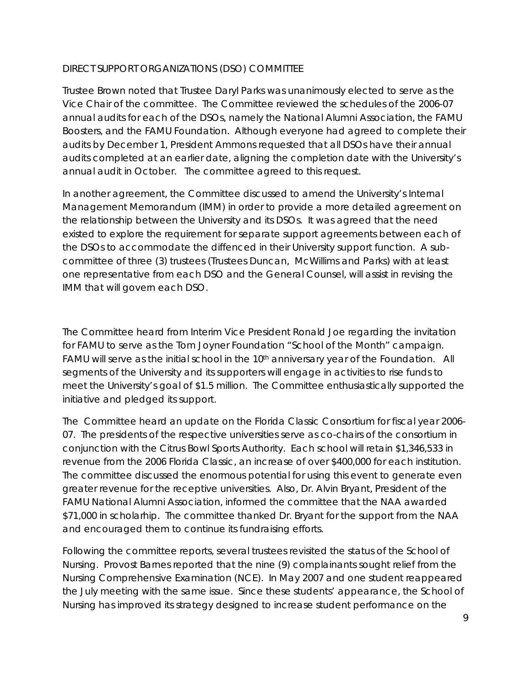### DIRECT SUPPORT ORGANIZATIONS (DSO) COMMITTEE

Trustee Brown noted that Trustee Daryl Parks was unanimously elected to serve as the Vice Chair of the committee. The Committee reviewed the schedules of the 2006-07 annual audits for each of the DSOs, namely the National Alumni Association, the FAMU Boosters, and the FAMU Foundation. Although everyone had agreed to complete their audits by December 1, President Ammons requested that all DSOs have their annual audits completed at an earlier date, aligning the completion date with the University's annual audit in October. The committee agreed to this request.

In another agreement, the Committee discussed to amend the University's Internal Management Memorandum (IMM) in order to provide a more detailed agreement on the relationship between the University and its DSOs. It was agreed that the need existed to explore the requirement for separate support agreements between each of the DSOs to accommodate the diffenced in their University support function. A subcommittee of three (3) trustees (Trustees Duncan, McWillims and Parks) with at least one representative from each DSO and the General Counsel, will assist in revising the IMM that will govern each DSO.

The Committee heard from Interim Vice President Ronald Joe regarding the invitation for FAMU to serve as the Tom Joyner Foundation "School of the Month" campaign. FAMU will serve as the initial school in the  $10<sup>th</sup>$  anniversary year of the Foundation. All segments of the University and its supporters will engage in activities to rise funds to meet the University's goal of \$1.5 million. The Committee enthusiastically supported the initiative and pledged its support.

The Committee heard an update on the Florida Classic Consortium for fiscal year 2006- 07. The presidents of the respective universities serve as co-chairs of the consortium in conjunction with the Citrus Bowl Sports Authority. Each school will retain \$1,346,533 in revenue from the 2006 Florida Classic, an increase of over \$400,000 for each institution. The committee discussed the enormous potential for using this event to generate even greater revenue for the receptive universities. Also, Dr. Alvin Bryant, President of the FAMU National Alumni Association, informed the committee that the NAA awarded \$71,000 in scholarhip. The committee thanked Dr. Bryant for the support from the NAA and encouraged them to continue its fundraising efforts.

Following the committee reports, several trustees revisited the status of the School of Nursing. Provost Barnes reported that the nine (9) complainants sought relief from the Nursing Comprehensive Examination (NCE). In May 2007 and one student reappeared the July meeting with the same issue. Since these students' appearance, the School of Nursing has improved its strategy designed to increase student performance on the